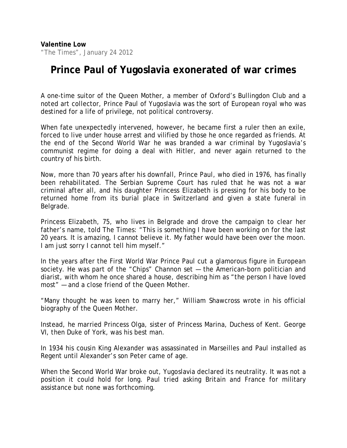"The Times", January 24 2012

## **Prince Paul of Yugoslavia exonerated of war crimes**

A one-time suitor of the Queen Mother, a member of Oxford's Bullingdon Club and a noted art collector, Prince Paul of Yugoslavia was the sort of European royal who was destined for a life of privilege, not political controversy.

When fate unexpectedly intervened, however, he became first a ruler then an exile, forced to live under house arrest and vilified by those he once regarded as friends. At the end of the Second World War he was branded a war criminal by Yugoslavia's communist regime for doing a deal with Hitler, and never again returned to the country of his birth.

Now, more than 70 years after his downfall, Prince Paul, who died in 1976, has finally been rehabilitated. The Serbian Supreme Court has ruled that he was not a war criminal after all, and his daughter Princess Elizabeth is pressing for his body to be returned home from its burial place in Switzerland and given a state funeral in Belgrade.

Princess Elizabeth, 75, who lives in Belgrade and drove the campaign to clear her father's name, told *The Times*: "This is something I have been working on for the last 20 years. It is amazing, I cannot believe it. My father would have been over the moon. I am just sorry I cannot tell him myself."

In the years after the First World War Prince Paul cut a glamorous figure in European society. He was part of the "Chips" Channon set — the American-born politician and diarist, with whom he once shared a house, describing him as "the person I have loved most" — and a close friend of the Queen Mother.

"Many thought he was keen to marry her," William Shawcross wrote in his official biography of the Queen Mother.

Instead, he married Princess Olga, sister of Princess Marina, Duchess of Kent. George VI, then Duke of York, was his best man.

In 1934 his cousin King Alexander was assassinated in Marseilles and Paul installed as Regent until Alexander's son Peter came of age.

When the Second World War broke out, Yugoslavia declared its neutrality. It was not a position it could hold for long. Paul tried asking Britain and France for military assistance but none was forthcoming.